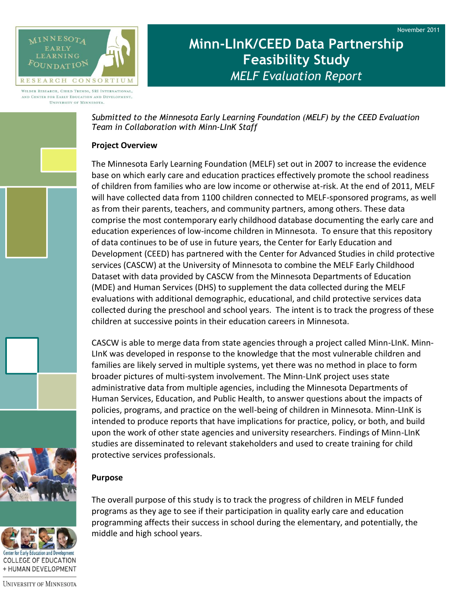

WILDER RESEARCH, CHILD TRENDS, SRI INTERNATIONAL, AND CENTER FOR EARLY EDUCATION AND DEVELOPMENT, UNIVERSITY OF MINNESOTA.

**Minn-LInK/CEED Data Partnership Feasibility Study** *MELF Evaluation Report*

*Submitted to the Minnesota Early Learning Foundation (MELF) by the CEED Evaluation Team in Collaboration with Minn-LInK Staff*

#### **Project Overview**

The Minnesota Early Learning Foundation (MELF) set out in 2007 to increase the evidence base on which early care and education practices effectively promote the school readiness of children from families who are low income or otherwise at-risk. At the end of 2011, MELF will have collected data from 1100 children connected to MELF-sponsored programs, as well as from their parents, teachers, and community partners, among others. These data comprise the most contemporary early childhood database documenting the early care and education experiences of low-income children in Minnesota. To ensure that this repository of data continues to be of use in future years, the Center for Early Education and Development (CEED) has partnered with the Center for Advanced Studies in child protective services (CASCW) at the University of Minnesota to combine the MELF Early Childhood Dataset with data provided by CASCW from the Minnesota Departments of Education (MDE) and Human Services (DHS) to supplement the data collected during the MELF evaluations with additional demographic, educational, and child protective services data collected during the preschool and school years. The intent is to track the progress of these children at successive points in their education careers in Minnesota.

CASCW is able to merge data from state agencies through a project called Minn-LInK. Minn-LInK was developed in response to the knowledge that the most vulnerable children and families are likely served in multiple systems, yet there was no method in place to form broader pictures of multi-system involvement. The Minn-LInK project uses state administrative data from multiple agencies, including the Minnesota Departments of Human Services, Education, and Public Health, to answer questions about the impacts of policies, programs, and practice on the well-being of children in Minnesota. Minn-LInK is intended to produce reports that have implications for practice, policy, or both, and build upon the work of other state agencies and university researchers. Findings of Minn-LInK studies are disseminated to relevant stakeholders and used to create training for child protective services professionals.

#### **Purpose**

The overall purpose of this study is to track the progress of children in MELF funded programs as they age to see if their participation in quality early care and education programming affects their success in school during the elementary, and potentially, the middle and high school years.



+ HUMAN DEVELOPMENT UNIVERSITY OF MINNESOTA

**COLLEGE OF EDUCATION**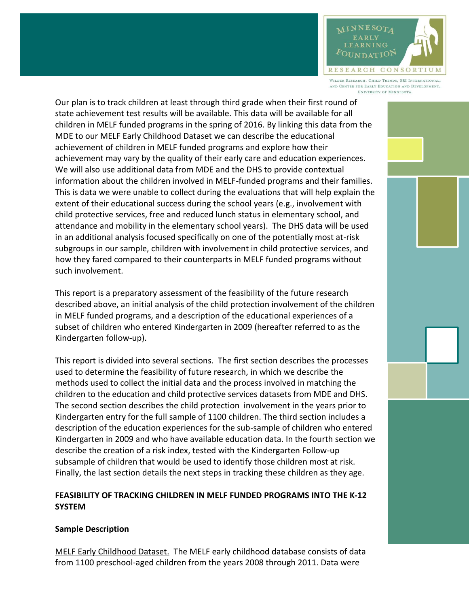

WILDER RESEARCH, CHILD TRENDS, SRI INTERNATIONAL AND CENTER FOR EARLY EDUCATION AND DEVELOPMENT. UNIVERSITY OF MINNESOTA.

Our plan is to track children at least through third grade when their first round of state achievement test results will be available. This data will be available for all children in MELF funded programs in the spring of 2016. By linking this data from the MDE to our MELF Early Childhood Dataset we can describe the educational achievement of children in MELF funded programs and explore how their achievement may vary by the quality of their early care and education experiences. We will also use additional data from MDE and the DHS to provide contextual information about the children involved in MELF-funded programs and their families. This is data we were unable to collect during the evaluations that will help explain the extent of their educational success during the school years (e.g., involvement with child protective services, free and reduced lunch status in elementary school, and attendance and mobility in the elementary school years). The DHS data will be used in an additional analysis focused specifically on one of the potentially most at-risk subgroups in our sample, children with involvement in child protective services, and how they fared compared to their counterparts in MELF funded programs without such involvement.

This report is a preparatory assessment of the feasibility of the future research described above, an initial analysis of the child protection involvement of the children in MELF funded programs, and a description of the educational experiences of a subset of children who entered Kindergarten in 2009 (hereafter referred to as the Kindergarten follow-up).

This report is divided into several sections. The first section describes the processes used to determine the feasibility of future research, in which we describe the methods used to collect the initial data and the process involved in matching the children to the education and child protective services datasets from MDE and DHS. The second section describes the child protection involvement in the years prior to Kindergarten entry for the full sample of 1100 children. The third section includes a description of the education experiences for the sub-sample of children who entered Kindergarten in 2009 and who have available education data. In the fourth section we describe the creation of a risk index, tested with the Kindergarten Follow-up subsample of children that would be used to identify those children most at risk. Finally, the last section details the next steps in tracking these children as they age.

# **FEASIBILITY OF TRACKING CHILDREN IN MELF FUNDED PROGRAMS INTO THE K-12 SYSTEM**

# **Sample Description**

MELF Early Childhood Dataset. The MELF early childhood database consists of data from 1100 preschool-aged children from the years 2008 through 2011. Data were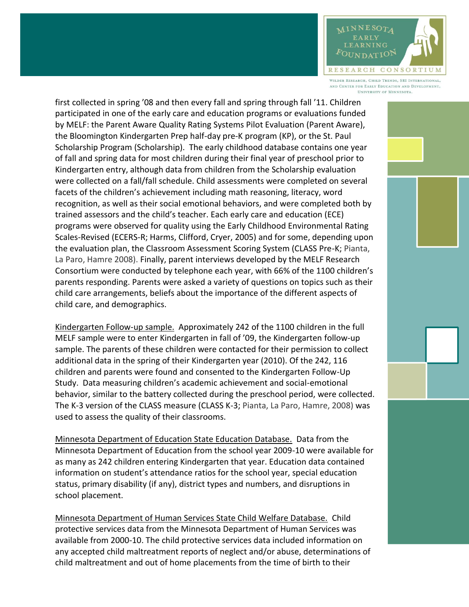$\text{MIN} \text{ESO} \gamma_{\mathcal{A}}$ **EARLY LEARNING**  $\mu_{\text{O}\text{UNDAT}}$ 10 $\hbar$ RESEARCH CONSORTIUM

.<br>Wilder Research, Child Trends, SRI International AND CENTER FOR EARLY EDUCATION AND DEVELOPMENT. **UNIVERSITY OF MINNESOTA** 

first collected in spring '08 and then every fall and spring through fall '11. Children participated in one of the early care and education programs or evaluations funded by MELF: the Parent Aware Quality Rating Systems Pilot Evaluation (Parent Aware), the Bloomington Kindergarten Prep half-day pre-K program (KP), or the St. Paul Scholarship Program (Scholarship). The early childhood database contains one year of fall and spring data for most children during their final year of preschool prior to Kindergarten entry, although data from children from the Scholarship evaluation were collected on a fall/fall schedule. Child assessments were completed on several facets of the children's achievement including math reasoning, literacy, word recognition, as well as their social emotional behaviors, and were completed both by trained assessors and the child's teacher. Each early care and education (ECE) programs were observed for quality using the Early Childhood Environmental Rating Scales-Revised (ECERS-R; Harms, Clifford, Cryer, 2005) and for some, depending upon the evaluation plan, the Classroom Assessment Scoring System (CLASS Pre-K; Pianta, La Paro, Hamre 2008). Finally, parent interviews developed by the MELF Research Consortium were conducted by telephone each year, with 66% of the 1100 children's parents responding. Parents were asked a variety of questions on topics such as their child care arrangements, beliefs about the importance of the different aspects of child care, and demographics.

Kindergarten Follow-up sample. Approximately 242 of the 1100 children in the full MELF sample were to enter Kindergarten in fall of '09, the Kindergarten follow-up sample. The parents of these children were contacted for their permission to collect additional data in the spring of their Kindergarten year (2010). Of the 242, 116 children and parents were found and consented to the Kindergarten Follow-Up Study. Data measuring children's academic achievement and social-emotional behavior, similar to the battery collected during the preschool period, were collected. The K-3 version of the CLASS measure (CLASS K-3; Pianta, La Paro, Hamre, 2008) was used to assess the quality of their classrooms.

Minnesota Department of Education State Education Database. Data from the Minnesota Department of Education from the school year 2009-10 were available for as many as 242 children entering Kindergarten that year. Education data contained information on student's attendance ratios for the school year, special education status, primary disability (if any), district types and numbers, and disruptions in school placement.

Minnesota Department of Human Services State Child Welfare Database. Child protective services data from the Minnesota Department of Human Services was available from 2000-10. The child protective services data included information on any accepted child maltreatment reports of neglect and/or abuse, determinations of child maltreatment and out of home placements from the time of birth to their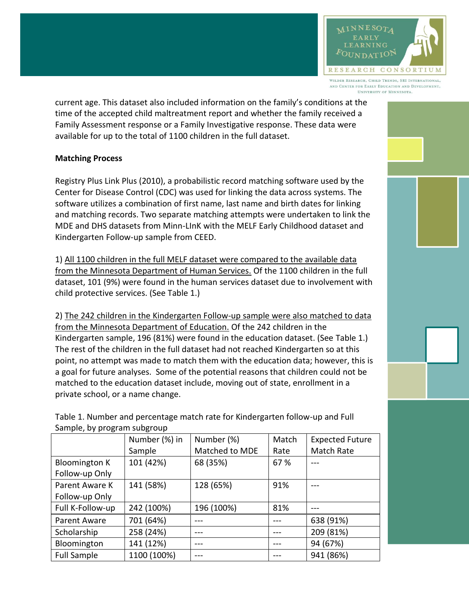

current age. This dataset also included information on the family's conditions at the time of the accepted child maltreatment report and whether the family received a Family Assessment response or a Family Investigative response. These data were available for up to the total of 1100 children in the full dataset.

# **Matching Process**

Registry Plus Link Plus (2010), a probabilistic record matching software used by the Center for Disease Control (CDC) was used for linking the data across systems. The software utilizes a combination of first name, last name and birth dates for linking and matching records. Two separate matching attempts were undertaken to link the MDE and DHS datasets from Minn-LInK with the MELF Early Childhood dataset and Kindergarten Follow-up sample from CEED.

1) All 1100 children in the full MELF dataset were compared to the available data from the Minnesota Department of Human Services. Of the 1100 children in the full dataset, 101 (9%) were found in the human services dataset due to involvement with child protective services. (See Table 1.)

2) The 242 children in the Kindergarten Follow-up sample were also matched to data from the Minnesota Department of Education. Of the 242 children in the Kindergarten sample, 196 (81%) were found in the education dataset. (See Table 1.) The rest of the children in the full dataset had not reached Kindergarten so at this point, no attempt was made to match them with the education data; however, this is a goal for future analyses. Some of the potential reasons that children could not be matched to the education dataset include, moving out of state, enrollment in a private school, or a name change.

| 3000                 |               |                |       |                        |
|----------------------|---------------|----------------|-------|------------------------|
|                      | Number (%) in | Number (%)     | Match | <b>Expected Future</b> |
|                      | Sample        | Matched to MDE | Rate  | Match Rate             |
| <b>Bloomington K</b> | 101 (42%)     | 68 (35%)       | 67 %  |                        |
| Follow-up Only       |               |                |       |                        |
| Parent Aware K       | 141 (58%)     | 128 (65%)      | 91%   |                        |
| Follow-up Only       |               |                |       |                        |
| Full K-Follow-up     | 242 (100%)    | 196 (100%)     | 81%   |                        |
| Parent Aware         | 701 (64%)     |                |       | 638 (91%)              |
| Scholarship          | 258 (24%)     |                |       | 209 (81%)              |
| Bloomington          | 141 (12%)     |                |       | 94 (67%)               |
| <b>Full Sample</b>   | 1100 (100%)   |                |       | 941 (86%)              |

Table 1. Number and percentage match rate for Kindergarten follow-up and Full Sample, by program subgroup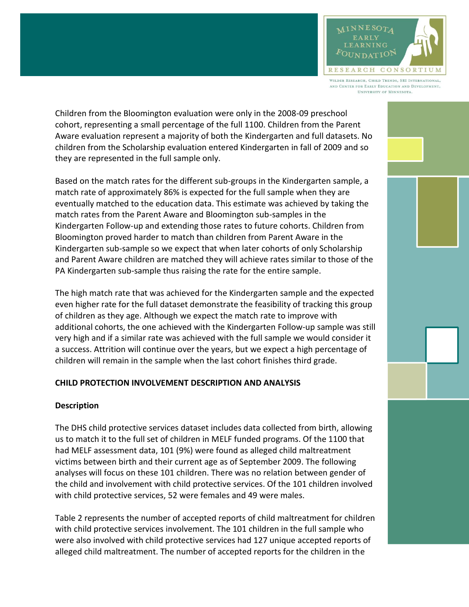

Children from the Bloomington evaluation were only in the 2008-09 preschool cohort, representing a small percentage of the full 1100. Children from the Parent Aware evaluation represent a majority of both the Kindergarten and full datasets. No children from the Scholarship evaluation entered Kindergarten in fall of 2009 and so they are represented in the full sample only.

Based on the match rates for the different sub-groups in the Kindergarten sample, a match rate of approximately 86% is expected for the full sample when they are eventually matched to the education data. This estimate was achieved by taking the match rates from the Parent Aware and Bloomington sub-samples in the Kindergarten Follow-up and extending those rates to future cohorts. Children from Bloomington proved harder to match than children from Parent Aware in the Kindergarten sub-sample so we expect that when later cohorts of only Scholarship and Parent Aware children are matched they will achieve rates similar to those of the PA Kindergarten sub-sample thus raising the rate for the entire sample.

The high match rate that was achieved for the Kindergarten sample and the expected even higher rate for the full dataset demonstrate the feasibility of tracking this group of children as they age. Although we expect the match rate to improve with additional cohorts, the one achieved with the Kindergarten Follow-up sample was still very high and if a similar rate was achieved with the full sample we would consider it a success. Attrition will continue over the years, but we expect a high percentage of children will remain in the sample when the last cohort finishes third grade.

# **CHILD PROTECTION INVOLVEMENT DESCRIPTION AND ANALYSIS**

# **Description**

The DHS child protective services dataset includes data collected from birth, allowing us to match it to the full set of children in MELF funded programs. Of the 1100 that had MELF assessment data, 101 (9%) were found as alleged child maltreatment victims between birth and their current age as of September 2009. The following analyses will focus on these 101 children. There was no relation between gender of the child and involvement with child protective services. Of the 101 children involved with child protective services, 52 were females and 49 were males.

Table 2 represents the number of accepted reports of child maltreatment for children with child protective services involvement. The 101 children in the full sample who were also involved with child protective services had 127 unique accepted reports of alleged child maltreatment. The number of accepted reports for the children in the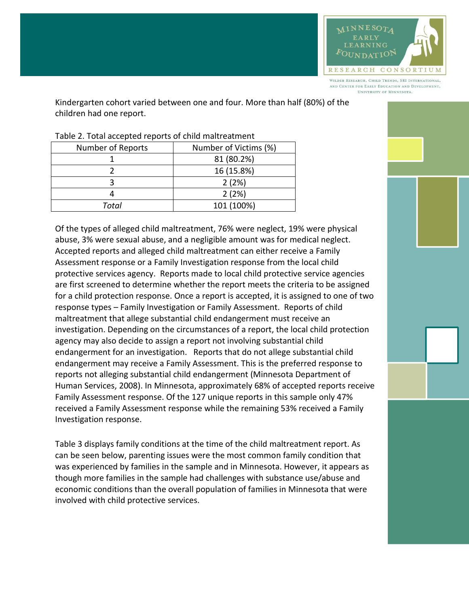

WILDER RESEARCH, CHILD TRENDS, SRI INTERNATIONAL. AND CENTER FOR EARLY EDUCATION AND DEVELOPMENT. UNIVERSITY OF MINNESOTA.

Kindergarten cohort varied between one and four. More than half (80%) of the children had one report.

| Number of Reports | Number of Victims (%) |  |
|-------------------|-----------------------|--|
|                   | 81 (80.2%)            |  |
|                   | 16 (15.8%)            |  |
|                   | 2(2%)                 |  |
|                   | 2(2%)                 |  |
| Total             | 101 (100%)            |  |

# Table 2. Total accepted reports of child maltreatment

Of the types of alleged child maltreatment, 76% were neglect, 19% were physical abuse, 3% were sexual abuse, and a negligible amount was for medical neglect. Accepted reports and alleged child maltreatment can either receive a Family Assessment response or a Family Investigation response from the local child protective services agency. Reports made to local child protective service agencies are first screened to determine whether the report meets the criteria to be assigned for a child protection response. Once a report is accepted, it is assigned to one of two response types – Family Investigation or Family Assessment. Reports of child maltreatment that allege substantial child endangerment must receive an investigation. Depending on the circumstances of a report, the local child protection agency may also decide to assign a report not involving substantial child endangerment for an investigation. Reports that do not allege substantial child endangerment may receive a Family Assessment. This is the preferred response to reports not alleging substantial child endangerment (Minnesota Department of Human Services, 2008). In Minnesota, approximately 68% of accepted reports receive Family Assessment response. Of the 127 unique reports in this sample only 47% received a Family Assessment response while the remaining 53% received a Family Investigation response.

Table 3 displays family conditions at the time of the child maltreatment report. As can be seen below, parenting issues were the most common family condition that was experienced by families in the sample and in Minnesota. However, it appears as though more families in the sample had challenges with substance use/abuse and economic conditions than the overall population of families in Minnesota that were involved with child protective services.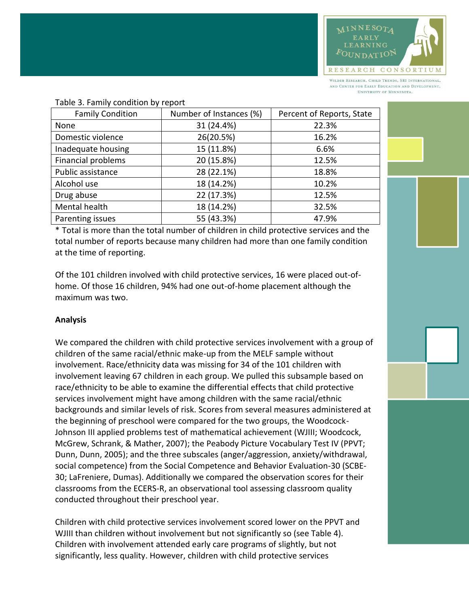

WILDER RESEARCH, CHILD TRENDS, SRI INTERNATIONAL. AND CENTER FOR EARLY EDUCATION AND DEVELOPMENT. UNIVERSITY OF MINNESOTA.

| <b>Family Condition</b> | Number of Instances (%) | Percent of Reports, State |  |  |
|-------------------------|-------------------------|---------------------------|--|--|
| None                    | 31 (24.4%)              | 22.3%                     |  |  |
| Domestic violence       | 26(20.5%)               | 16.2%                     |  |  |
| Inadequate housing      | 15 (11.8%)              | 6.6%                      |  |  |
| Financial problems      | 20 (15.8%)              | 12.5%                     |  |  |
| Public assistance       | 28 (22.1%)              | 18.8%                     |  |  |
| Alcohol use             | 18 (14.2%)              | 10.2%                     |  |  |
| Drug abuse              | 22 (17.3%)              | 12.5%                     |  |  |
| Mental health           | 18 (14.2%)              | 32.5%                     |  |  |
| Parenting issues        | 55 (43.3%)              | 47.9%                     |  |  |

### Table 3. Family condition by report

\* Total is more than the total number of children in child protective services and the total number of reports because many children had more than one family condition at the time of reporting.

Of the 101 children involved with child protective services, 16 were placed out-ofhome. Of those 16 children, 94% had one out-of-home placement although the maximum was two.

### **Analysis**

We compared the children with child protective services involvement with a group of children of the same racial/ethnic make-up from the MELF sample without involvement. Race/ethnicity data was missing for 34 of the 101 children with involvement leaving 67 children in each group. We pulled this subsample based on race/ethnicity to be able to examine the differential effects that child protective services involvement might have among children with the same racial/ethnic backgrounds and similar levels of risk. Scores from several measures administered at the beginning of preschool were compared for the two groups, the Woodcock-Johnson III applied problems test of mathematical achievement (WJIII; Woodcock, McGrew, Schrank, & Mather, 2007); the Peabody Picture Vocabulary Test IV (PPVT; Dunn, Dunn, 2005); and the three subscales (anger/aggression, anxiety/withdrawal, social competence) from the Social Competence and Behavior Evaluation-30 (SCBE-30; LaFreniere, Dumas). Additionally we compared the observation scores for their classrooms from the ECERS-R, an observational tool assessing classroom quality conducted throughout their preschool year.

Children with child protective services involvement scored lower on the PPVT and WJIII than children without involvement but not significantly so (see Table 4). Children with involvement attended early care programs of slightly, but not significantly, less quality. However, children with child protective services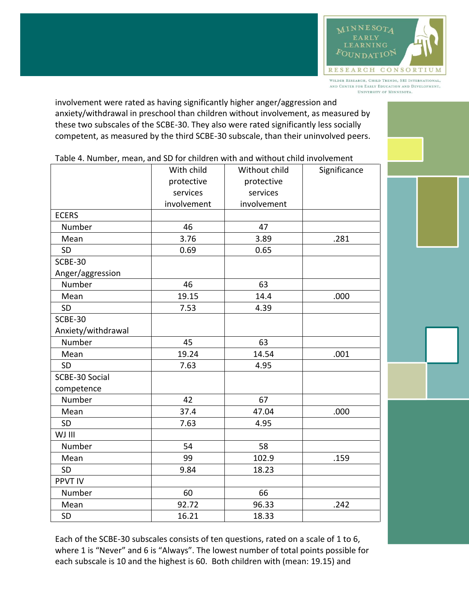

WILDER RESEARCH, CHILD TRENDS, SRI INTERNATIONAL, AND CENTER FOR EARLY EDUCATION AND DEVELOPMENT. UNIVERSITY OF MINNESOTA.

involvement were rated as having significantly higher anger/aggression and anxiety/withdrawal in preschool than children without involvement, as measured by these two subscales of the SCBE-30. They also were rated significantly less socially competent, as measured by the third SCBE-30 subscale, than their uninvolved peers.

|                    | With child  | Without child | Significance |
|--------------------|-------------|---------------|--------------|
|                    | protective  | protective    |              |
|                    | services    | services      |              |
|                    | involvement | involvement   |              |
| <b>ECERS</b>       |             |               |              |
| Number             | 46          | 47            |              |
| Mean               | 3.76        | 3.89          | .281         |
| SD                 | 0.69        | 0.65          |              |
| SCBE-30            |             |               |              |
| Anger/aggression   |             |               |              |
| Number             | 46          | 63            |              |
| Mean               | 19.15       | 14.4          | .000         |
| SD                 | 7.53        | 4.39          |              |
| SCBE-30            |             |               |              |
| Anxiety/withdrawal |             |               |              |
| Number             | 45          | 63            |              |
| Mean               | 19.24       | 14.54         | .001         |
| SD                 | 7.63        | 4.95          |              |
| SCBE-30 Social     |             |               |              |
| competence         |             |               |              |
| Number             | 42          | 67            |              |
| Mean               | 37.4        | 47.04         | .000         |
| SD                 | 7.63        | 4.95          |              |
| WJ III             |             |               |              |
| Number             | 54          | 58            |              |
| Mean               | 99          | 102.9         | .159         |
| SD                 | 9.84        | 18.23         |              |
| <b>PPVT IV</b>     |             |               |              |
| Number             | 60          | 66            |              |
| Mean               | 92.72       | 96.33         | .242         |
| SD                 | 16.21       | 18.33         |              |

Table 4. Number, mean, and SD for children with and without child involvement

Each of the SCBE-30 subscales consists of ten questions, rated on a scale of 1 to 6, where 1 is "Never" and 6 is "Always". The lowest number of total points possible for each subscale is 10 and the highest is 60. Both children with (mean: 19.15) and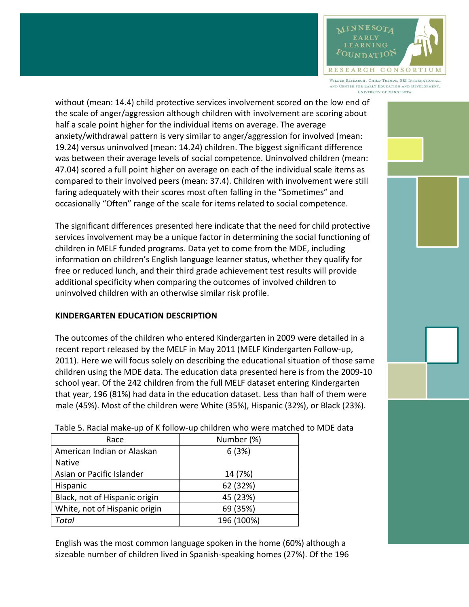

without (mean: 14.4) child protective services involvement scored on the low end of the scale of anger/aggression although children with involvement are scoring about half a scale point higher for the individual items on average. The average anxiety/withdrawal pattern is very similar to anger/aggression for involved (mean: 19.24) versus uninvolved (mean: 14.24) children. The biggest significant difference was between their average levels of social competence. Uninvolved children (mean: 47.04) scored a full point higher on average on each of the individual scale items as compared to their involved peers (mean: 37.4). Children with involvement were still faring adequately with their scores most often falling in the "Sometimes" and occasionally "Often" range of the scale for items related to social competence.

The significant differences presented here indicate that the need for child protective services involvement may be a unique factor in determining the social functioning of children in MELF funded programs. Data yet to come from the MDE, including information on children's English language learner status, whether they qualify for free or reduced lunch, and their third grade achievement test results will provide additional specificity when comparing the outcomes of involved children to uninvolved children with an otherwise similar risk profile.

# **KINDERGARTEN EDUCATION DESCRIPTION**

The outcomes of the children who entered Kindergarten in 2009 were detailed in a recent report released by the MELF in May 2011 (MELF Kindergarten Follow-up, 2011). Here we will focus solely on describing the educational situation of those same children using the MDE data. The education data presented here is from the 2009-10 school year. Of the 242 children from the full MELF dataset entering Kindergarten that year, 196 (81%) had data in the education dataset. Less than half of them were male (45%). Most of the children were White (35%), Hispanic (32%), or Black (23%).

| Race                          | Number (%) |  |
|-------------------------------|------------|--|
| American Indian or Alaskan    | 6(3%)      |  |
| <b>Native</b>                 |            |  |
| Asian or Pacific Islander     | 14 (7%)    |  |
| Hispanic                      | 62 (32%)   |  |
| Black, not of Hispanic origin | 45 (23%)   |  |
| White, not of Hispanic origin | 69 (35%)   |  |
| Total                         | 196 (100%) |  |

Table 5. Racial make-up of K follow-up children who were matched to MDE data

English was the most common language spoken in the home (60%) although a sizeable number of children lived in Spanish-speaking homes (27%). Of the 196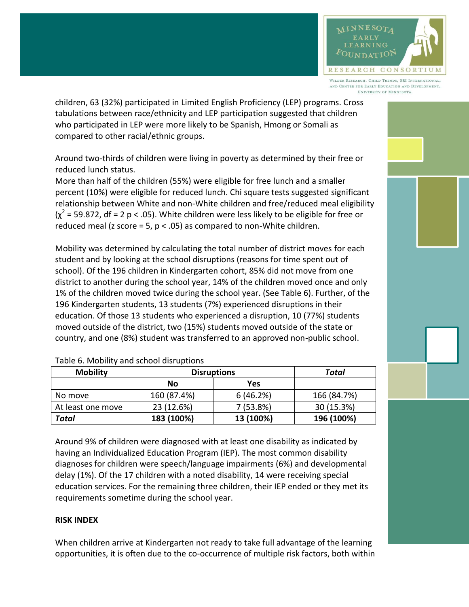RESEARCH CONSORTIUN WILDER RESEARCH, CHILD TRENDS, SRI INTERNATIONAL AND CENTER FOR EARLY EDUCATION AND DEVELOPMENT. UNIVERSITY OF MINNESOTA.

 $\text{MIN} \text{ESOI}$ A **EARIY** EARNING  $^{F}$ OUNDATIO $^{\bullet}$ 

children, 63 (32%) participated in Limited English Proficiency (LEP) programs. Cross tabulations between race/ethnicity and LEP participation suggested that children who participated in LEP were more likely to be Spanish, Hmong or Somali as compared to other racial/ethnic groups.

Around two-thirds of children were living in poverty as determined by their free or reduced lunch status.

More than half of the children (55%) were eligible for free lunch and a smaller percent (10%) were eligible for reduced lunch. Chi square tests suggested significant relationship between White and non-White children and free/reduced meal eligibility  $(\chi^2$  = 59.872, df = 2 p < .05). White children were less likely to be eligible for free or reduced meal (z score = 5,  $p < .05$ ) as compared to non-White children.

Mobility was determined by calculating the total number of district moves for each student and by looking at the school disruptions (reasons for time spent out of school). Of the 196 children in Kindergarten cohort, 85% did not move from one district to another during the school year, 14% of the children moved once and only 1% of the children moved twice during the school year. (See Table 6). Further, of the 196 Kindergarten students, 13 students (7%) experienced disruptions in their education. Of those 13 students who experienced a disruption, 10 (77%) students moved outside of the district, two (15%) students moved outside of the state or country, and one (8%) student was transferred to an approved non-public school.

| <b>Mobility</b>   | <b>Disruptions</b> |           | Total       |
|-------------------|--------------------|-----------|-------------|
|                   | No                 | Yes       |             |
| No move           | 160 (87.4%)        | 6(46.2%)  | 166 (84.7%) |
| At least one move | 23 (12.6%)         | 7(53.8%)  | 30 (15.3%)  |
| <b>Total</b>      | 183 (100%)         | 13 (100%) | 196 (100%)  |

Table 6. Mobility and school disruptions

Around 9% of children were diagnosed with at least one disability as indicated by having an Individualized Education Program (IEP). The most common disability diagnoses for children were speech/language impairments (6%) and developmental delay (1%). Of the 17 children with a noted disability, 14 were receiving special education services. For the remaining three children, their IEP ended or they met its requirements sometime during the school year.

# **RISK INDEX**

When children arrive at Kindergarten not ready to take full advantage of the learning opportunities, it is often due to the co-occurrence of multiple risk factors, both within

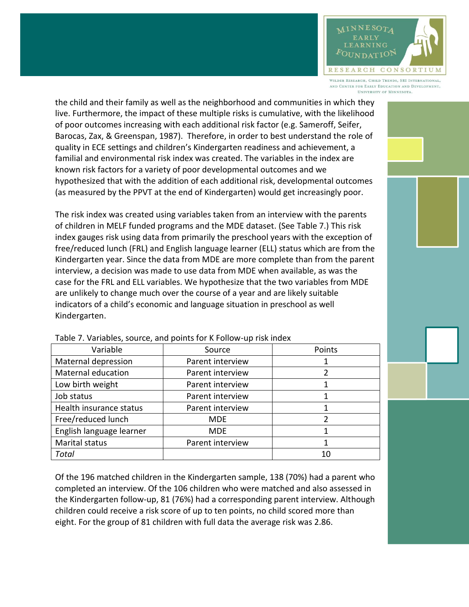

WILDER RESEARCH, CHILD TRENDS, SRI INTERNATIONAL AND CENTER FOR EARLY EDUCATION AND DEVELOPMENT. **UNIVERSITY OF MINNESOTA** 

the child and their family as well as the neighborhood and communities in which they live. Furthermore, the impact of these multiple risks is cumulative, with the likelihood of poor outcomes increasing with each additional risk factor (e.g. Sameroff, Seifer, Barocas, Zax, & Greenspan, 1987). Therefore, in order to best understand the role of quality in ECE settings and children's Kindergarten readiness and achievement, a familial and environmental risk index was created. The variables in the index are known risk factors for a variety of poor developmental outcomes and we hypothesized that with the addition of each additional risk, developmental outcomes (as measured by the PPVT at the end of Kindergarten) would get increasingly poor.

The risk index was created using variables taken from an interview with the parents of children in MELF funded programs and the MDE dataset. (See Table 7.) This risk index gauges risk using data from primarily the preschool years with the exception of free/reduced lunch (FRL) and English language learner (ELL) status which are from the Kindergarten year. Since the data from MDE are more complete than from the parent interview, a decision was made to use data from MDE when available, as was the case for the FRL and ELL variables. We hypothesize that the two variables from MDE are unlikely to change much over the course of a year and are likely suitable indicators of a child's economic and language situation in preschool as well Kindergarten.

| Variable                 | Source                | Points |
|--------------------------|-----------------------|--------|
| Maternal depression      | Parent interview      |        |
| Maternal education       | Parent interview<br>2 |        |
| Low birth weight         | Parent interview      |        |
| Job status               | Parent interview      |        |
| Health insurance status  | Parent interview      |        |
| Free/reduced lunch       | <b>MDE</b>            |        |
| English language learner | <b>MDE</b>            |        |
| Marital status           | Parent interview      |        |
| Total                    |                       | 10     |

Table 7. Variables, source, and points for K Follow-up risk index

Of the 196 matched children in the Kindergarten sample, 138 (70%) had a parent who completed an interview. Of the 106 children who were matched and also assessed in the Kindergarten follow-up, 81 (76%) had a corresponding parent interview. Although children could receive a risk score of up to ten points, no child scored more than eight. For the group of 81 children with full data the average risk was 2.86.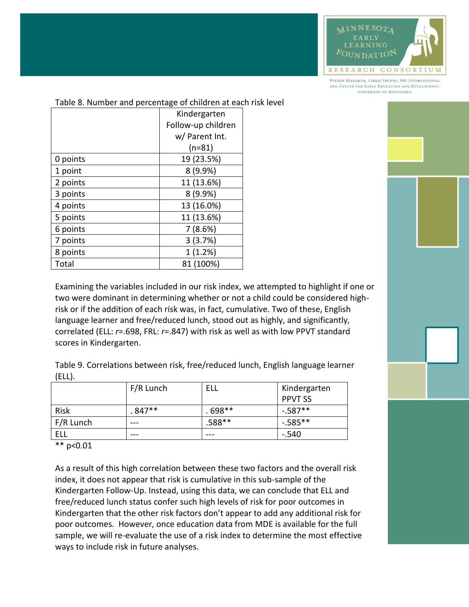

WILDER RESEARCH, CHILD TRENDS, SRI INTERNATIONAL, AND CENTER FOR EARLY EDUCATION AND DEVELOPMENT. UNIVERSITY OF MINNESOTA.

| rable of number and percentage or children at each |                |  |  |
|----------------------------------------------------|----------------|--|--|
|                                                    | Kindergarten   |  |  |
| Follow-up children                                 |                |  |  |
|                                                    | w/ Parent Int. |  |  |
|                                                    | (n=81)         |  |  |
| 0 points                                           | 19 (23.5%)     |  |  |
| 1 point                                            | 8 (9.9%)       |  |  |
| 2 points                                           | 11 (13.6%)     |  |  |
| 3 points                                           | 8 (9.9%)       |  |  |
| 4 points                                           | 13 (16.0%)     |  |  |
| 5 points                                           | 11 (13.6%)     |  |  |
| 6 points                                           | 7(8.6%)        |  |  |
| 7 points                                           | 3(3.7%)        |  |  |
| 8 points                                           | 1(1.2%)        |  |  |
| Total                                              | 81 (100%)      |  |  |
|                                                    |                |  |  |

Table 8. Number and percentage of children at each risk level

Examining the variables included in our risk index, we attempted to highlight if one or two were dominant in determining whether or not a child could be considered highrisk or if the addition of each risk was, in fact, cumulative. Two of these, English language learner and free/reduced lunch, stood out as highly, and significantly, correlated (ELL: *r*=.698, FRL: *r=*.847) with risk as well as with low PPVT standard scores in Kindergarten.

Table 9. Correlations between risk, free/reduced lunch, English language learner (ELL).

|             | F/R Lunch | ELL      | Kindergarten   |
|-------------|-----------|----------|----------------|
|             |           |          | <b>PPVT SS</b> |
| <b>Risk</b> | $.847**$  | 698**    | $-.587**$      |
| F/R Lunch   |           | $.588**$ | $-0.585**$     |
|             | ---       | ---      | $-.540$        |

\*\* p<0.01

As a result of this high correlation between these two factors and the overall risk index, it does not appear that risk is cumulative in this sub-sample of the Kindergarten Follow-Up. Instead, using this data, we can conclude that ELL and free/reduced lunch status confer such high levels of risk for poor outcomes in Kindergarten that the other risk factors don't appear to add any additional risk for poor outcomes. However, once education data from MDE is available for the full sample, we will re-evaluate the use of a risk index to determine the most effective ways to include risk in future analyses.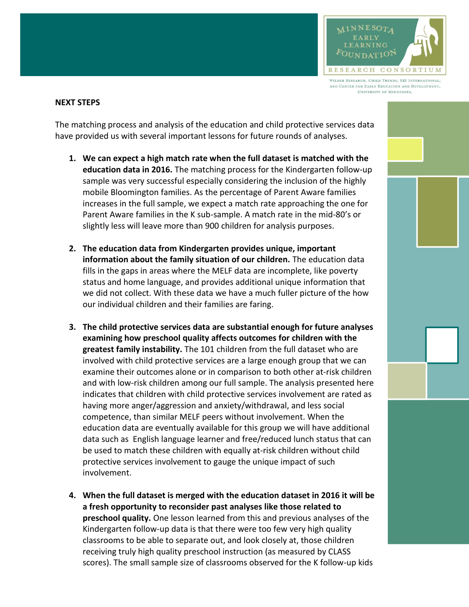

### **NEXT STEPS**

The matching process and analysis of the education and child protective services data have provided us with several important lessons for future rounds of analyses.

- **1. We can expect a high match rate when the full dataset is matched with the education data in 2016.** The matching process for the Kindergarten follow-up sample was very successful especially considering the inclusion of the highly mobile Bloomington families. As the percentage of Parent Aware families increases in the full sample, we expect a match rate approaching the one for Parent Aware families in the K sub-sample. A match rate in the mid-80's or slightly less will leave more than 900 children for analysis purposes.
- **2. The education data from Kindergarten provides unique, important information about the family situation of our children.** The education data fills in the gaps in areas where the MELF data are incomplete, like poverty status and home language, and provides additional unique information that we did not collect. With these data we have a much fuller picture of the how our individual children and their families are faring.
- **3. The child protective services data are substantial enough for future analyses examining how preschool quality affects outcomes for children with the greatest family instability.** The 101 children from the full dataset who are involved with child protective services are a large enough group that we can examine their outcomes alone or in comparison to both other at-risk children and with low-risk children among our full sample. The analysis presented here indicates that children with child protective services involvement are rated as having more anger/aggression and anxiety/withdrawal, and less social competence, than similar MELF peers without involvement. When the education data are eventually available for this group we will have additional data such as English language learner and free/reduced lunch status that can be used to match these children with equally at-risk children without child protective services involvement to gauge the unique impact of such involvement.
- **4. When the full dataset is merged with the education dataset in 2016 it will be a fresh opportunity to reconsider past analyses like those related to preschool quality.** One lesson learned from this and previous analyses of the Kindergarten follow-up data is that there were too few very high quality classrooms to be able to separate out, and look closely at, those children receiving truly high quality preschool instruction (as measured by CLASS scores). The small sample size of classrooms observed for the K follow-up kids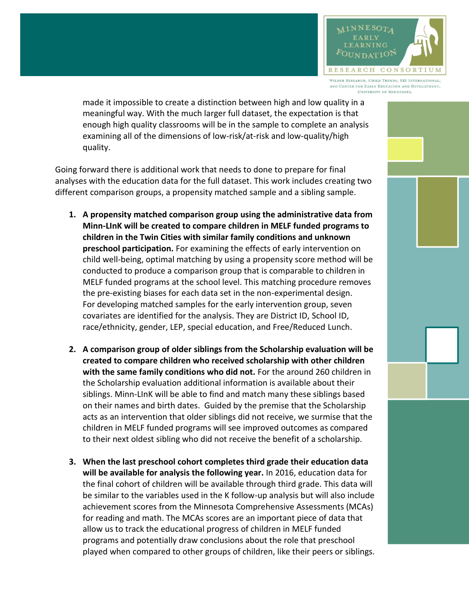

made it impossible to create a distinction between high and low quality in a meaningful way. With the much larger full dataset, the expectation is that enough high quality classrooms will be in the sample to complete an analysis examining all of the dimensions of low-risk/at-risk and low-quality/high quality.

Going forward there is additional work that needs to done to prepare for final analyses with the education data for the full dataset. This work includes creating two different comparison groups, a propensity matched sample and a sibling sample.

- **1. A propensity matched comparison group using the administrative data from Minn-LInK will be created to compare children in MELF funded programs to children in the Twin Cities with similar family conditions and unknown preschool participation.** For examining the effects of early intervention on child well-being, optimal matching by using a propensity score method will be conducted to produce a comparison group that is comparable to children in MELF funded programs at the school level. This matching procedure removes the pre-existing biases for each data set in the non-experimental design. For developing matched samples for the early intervention group, seven covariates are identified for the analysis. They are District ID, School ID, race/ethnicity, gender, LEP, special education, and Free/Reduced Lunch.
- **2. A comparison group of older siblings from the Scholarship evaluation will be created to compare children who received scholarship with other children with the same family conditions who did not.** For the around 260 children in the Scholarship evaluation additional information is available about their siblings. Minn-LInK will be able to find and match many these siblings based on their names and birth dates. Guided by the premise that the Scholarship acts as an intervention that older siblings did not receive, we surmise that the children in MELF funded programs will see improved outcomes as compared to their next oldest sibling who did not receive the benefit of a scholarship.
- **3. When the last preschool cohort completes third grade their education data will be available for analysis the following year.** In 2016, education data for the final cohort of children will be available through third grade. This data will be similar to the variables used in the K follow-up analysis but will also include achievement scores from the Minnesota Comprehensive Assessments (MCAs) for reading and math. The MCAs scores are an important piece of data that allow us to track the educational progress of children in MELF funded programs and potentially draw conclusions about the role that preschool played when compared to other groups of children, like their peers or siblings.